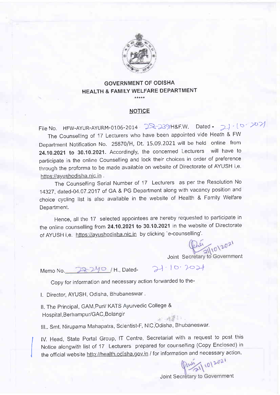

#### GOVERNMENT OF ODISHA HEALTH & FAMILY WELFARE DEPARTMENT ا<br>مالا مالا مالا مالا مال

#### NOTICE

File No. HFW-AYUR-AYURM-0106-2014 28-239/H&F.W. Dated - 2)  $(6.207)$ 

The counselling of 17 Lecturers who have been appointed vide Heath & FW Department Notification No. 25870/H, Dt. 15.09.2021 will be held online from 24.10.2021 to 30.10.2021. Accordingly, the concerned Lecturers will have to participate in the online counselling and lock their choices in order of preference through the proforma to be made available on website of Directorate of AYUSH i,e https://ayushodisha.nic.in.

The counselling serial Number of 17 Lecturers as per the Resolution No 14327, dated-04.07.2017 of GA & PG Department along with vacancy position and choice cycling list is also available in the website of Health & Family welfare Deoartment.

Hence, all the 17 selected appointees are hereby requested to participate in the online counselling from 24.10.2021 to 30.10.2021 in the website of Directorate of AYUSH i,e. https://ayushodisha.nic.in by clicking 'e-counselling'.

Joint Secretary to Government

Memo No. 78740 / H., Dated- 21-10.2021

Copy for information and necessary action forwarded to the-

l. Director, AYUSH, Odisha, Bhubaneswar .

ll. The Principal, GAM,Puri/ KATS Ayurvedic College & Hospital, Berhampur/GAC, Bolangir 水 - 内容 - 1 -

III.. Smt. Nirupama Mahapatra, Scientist-F, NIC, Odisha, Bhubaneswar.

IV. Head, State Portal Group, IT Centre, Secretariat with a request to post this Notice alongwith list of 17 Lecturers prepared for counselling (copy Enclosed) in the official website http://health.odisha.gov.in / for information and necessary action.<br>  $\sqrt{\frac{10^{120}}{21}}$ 

Joint Secretary to Government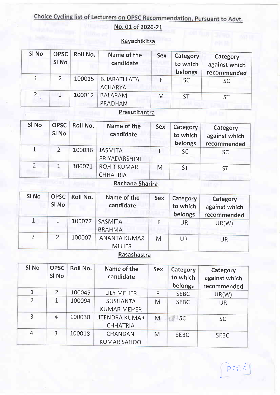# Choice Cycling list of Lecturers on OPSC Recommendation, Pursuant to Advt.

## No. 01 of 2020-2t

## Kavachikitsa

| SI No | OPSC <sup>1</sup><br>SI No | Roll No. | Name of the<br>candidate              | <b>Sex</b> | Category<br>to which<br>belongs | Category<br>against which<br>recommended |
|-------|----------------------------|----------|---------------------------------------|------------|---------------------------------|------------------------------------------|
|       | 2                          |          | 100015 BHARATI LATA<br><b>ACHARYA</b> |            | <b>SC</b>                       | <b>SC</b>                                |
| າ     |                            | 100012   | <b>BALARAM</b><br><b>PRADHAN</b>      | M          | <b>ST</b>                       | <b>ST</b>                                |

#### **Prasutitantra**

| SI <sub>No</sub> | OPSC <sup>1</sup><br>SI No | Roll No. | Name of the<br>candidate              | <b>Sex</b> | Category<br>to which<br>belongs | Category<br>against which<br>recommended |
|------------------|----------------------------|----------|---------------------------------------|------------|---------------------------------|------------------------------------------|
| 1                |                            | 100036   | <b>JASMITA</b><br>PRIYADARSHINI       |            | <b>SC</b>                       | <b>SC</b>                                |
| $\mathcal{D}$    |                            | 100071   | <b>ROHIT KUMAR</b><br><b>CHHATRIA</b> | M          | <b>ST</b>                       | ST                                       |

#### Rachana Sharira

| SI <sub>No</sub> | <b>OPSC</b><br>SI No | Roll No. | Name of the<br>candidate            | Sex | Category<br>to which<br>belongs | Category<br>against which<br>recommended |
|------------------|----------------------|----------|-------------------------------------|-----|---------------------------------|------------------------------------------|
|                  |                      | 100077   | <b>SASMITA</b><br><b>BRAHMA</b>     |     | <b>UR</b>                       | UR(W)                                    |
| $\overline{2}$   |                      | 100007   | <b>ANANTA KUMAR</b><br><b>MEHER</b> | M   | UR                              | UR                                       |

## Rasashastra

| SI <sub>No</sub> | <b>OPSC</b><br>SI No | Roll No. | Name of the<br>candidate                 | <b>Sex</b> | Category<br>to which<br>belongs | Category<br>against which<br>recommended |
|------------------|----------------------|----------|------------------------------------------|------------|---------------------------------|------------------------------------------|
| $\mathbf{1}$     | $\overline{2}$       | 100045   | LILY MEHER                               | F          | <b>SEBC</b>                     | UR(W)                                    |
| $\overline{2}$   | 1                    | 100094   | <b>SUSHANTA</b><br><b>KUMAR MEHER</b>    | M          | <b>SEBC</b>                     | <b>UR</b>                                |
| 3                | 4                    | 100038   | <b>JITENDRA KUMAR</b><br><b>CHHATRIA</b> | M          | <b>SC</b>                       | <b>SC</b>                                |
| 4                | 3                    | 100018   | <b>CHANDAN</b><br><b>KUMAR SAHOO</b>     | M          | <b>SEBC</b>                     | <b>SEBC</b>                              |

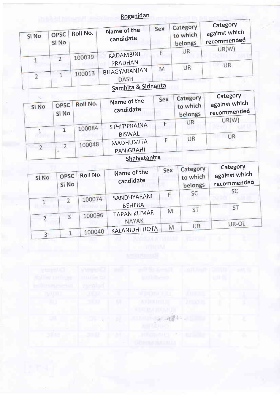#### Roganidan

| SI No | OPSC<br>SI No | Roll No. | Name of the<br>candidate    | Sex | Category<br>to which<br>belongs | Category<br>against which<br>recommended |
|-------|---------------|----------|-----------------------------|-----|---------------------------------|------------------------------------------|
|       | ∍             | 100039   | KADAMBINI<br>PRADHAN        |     | UR                              | UR(W)<br>UR                              |
|       |               | 100013   | BHAGYARANJAN<br><b>DASH</b> | М   | UR                              |                                          |

## Samhita & Sidhanta

|       |               |          |                               | Sex | Category            | Category                     |
|-------|---------------|----------|-------------------------------|-----|---------------------|------------------------------|
| SI No | OPSC<br>SI No | Roll No. | Name of the<br>candidate      |     | to which<br>belongs | against which<br>recommended |
|       |               |          |                               |     | UR                  | UR(W)                        |
|       |               | 100084   | STHITIPRAJNA<br><b>BISWAL</b> |     |                     |                              |
|       |               | 100048   | MADHUMITA                     |     | UR                  | <b>UR</b>                    |
|       |               |          | PANIGRAHI                     |     |                     |                              |

#### Shalyatantra

| SI No | OPSC<br>SI No  | Roll No. | Name of the<br>candidate     | Sex | Category<br>to which<br>belongs | Category<br>against which<br>recommended |
|-------|----------------|----------|------------------------------|-----|---------------------------------|------------------------------------------|
|       | $\overline{2}$ | 100074   | SANDHYARANI<br><b>BEHERA</b> |     | SC                              | <b>SC</b><br><b>ST</b>                   |
| 2     | $\overline{3}$ | 100096   | <b>TAPAN KUMAR</b><br>NAYAK  | M   | ST                              | UR-OL                                    |
|       |                | 100040   | <b>KALANIDHI HOTA</b>        | M   | UR                              |                                          |